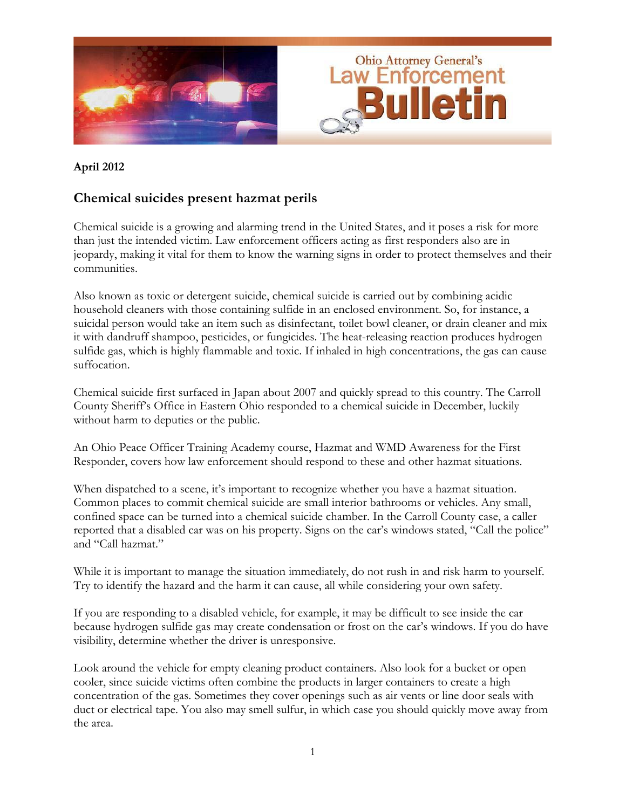

**April 2012** 

## **Chemical suicides present hazmat perils**

Chemical suicide is a growing and alarming trend in the United States, and it poses a risk for more than just the intended victim. Law enforcement officers acting as first responders also are in jeopardy, making it vital for them to know the warning signs in order to protect themselves and their communities.

Also known as toxic or detergent suicide, chemical suicide is carried out by combining acidic household cleaners with those containing sulfide in an enclosed environment. So, for instance, a suicidal person would take an item such as disinfectant, toilet bowl cleaner, or drain cleaner and mix it with dandruff shampoo, pesticides, or fungicides. The heat-releasing reaction produces hydrogen sulfide gas, which is highly flammable and toxic. If inhaled in high concentrations, the gas can cause suffocation.

Chemical suicide first surfaced in Japan about 2007 and quickly spread to this country. The Carroll County Sheriff's Office in Eastern Ohio responded to a chemical suicide in December, luckily without harm to deputies or the public.

An Ohio Peace Officer Training Academy course, Hazmat and WMD Awareness for the First Responder, covers how law enforcement should respond to these and other hazmat situations.

When dispatched to a scene, it's important to recognize whether you have a hazmat situation. Common places to commit chemical suicide are small interior bathrooms or vehicles. Any small, confined space can be turned into a chemical suicide chamber. In the Carroll County case, a caller reported that a disabled car was on his property. Signs on the car's windows stated, "Call the police" and "Call hazmat."

While it is important to manage the situation immediately, do not rush in and risk harm to yourself. Try to identify the hazard and the harm it can cause, all while considering your own safety.

If you are responding to a disabled vehicle, for example, it may be difficult to see inside the car because hydrogen sulfide gas may create condensation or frost on the car's windows. If you do have visibility, determine whether the driver is unresponsive.

Look around the vehicle for empty cleaning product containers. Also look for a bucket or open cooler, since suicide victims often combine the products in larger containers to create a high concentration of the gas. Sometimes they cover openings such as air vents or line door seals with duct or electrical tape. You also may smell sulfur, in which case you should quickly move away from the area.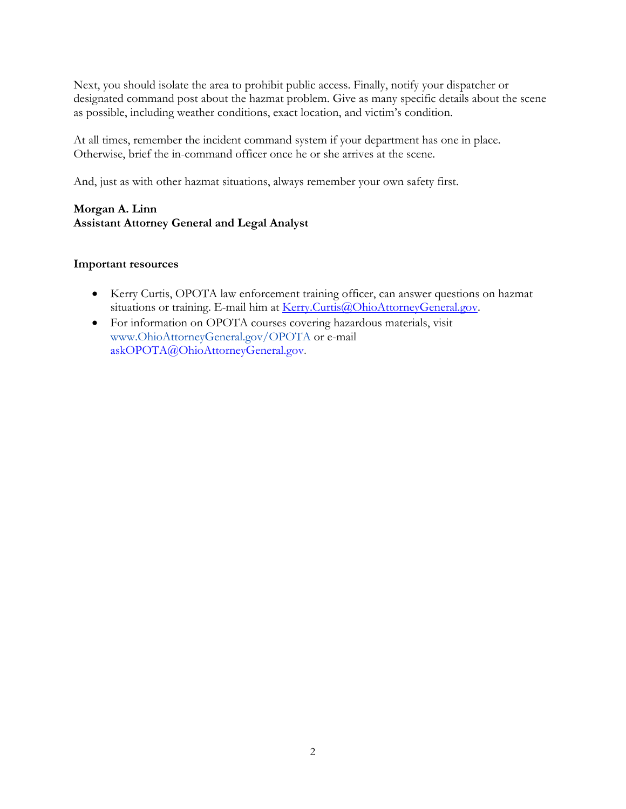Next, you should isolate the area to prohibit public access. Finally, notify your dispatcher or designated command post about the hazmat problem. Give as many specific details about the scene as possible, including weather conditions, exact location, and victim's condition.

At all times, remember the incident command system if your department has one in place. Otherwise, brief the in-command officer once he or she arrives at the scene.

And, just as with other hazmat situations, always remember your own safety first.

### **Morgan A. Linn Assistant Attorney General and Legal Analyst**

#### **Important resources**

- Kerry Curtis, OPOTA law enforcement training officer, can answer questions on hazmat situations or training. E-mail him at Kerry.Curtis@OhioAttorneyGeneral.gov.
- For information on OPOTA courses covering hazardous materials, visit www.OhioAttorneyGeneral.gov/OPOTA or e-mail askOPOTA@OhioAttorneyGeneral.gov.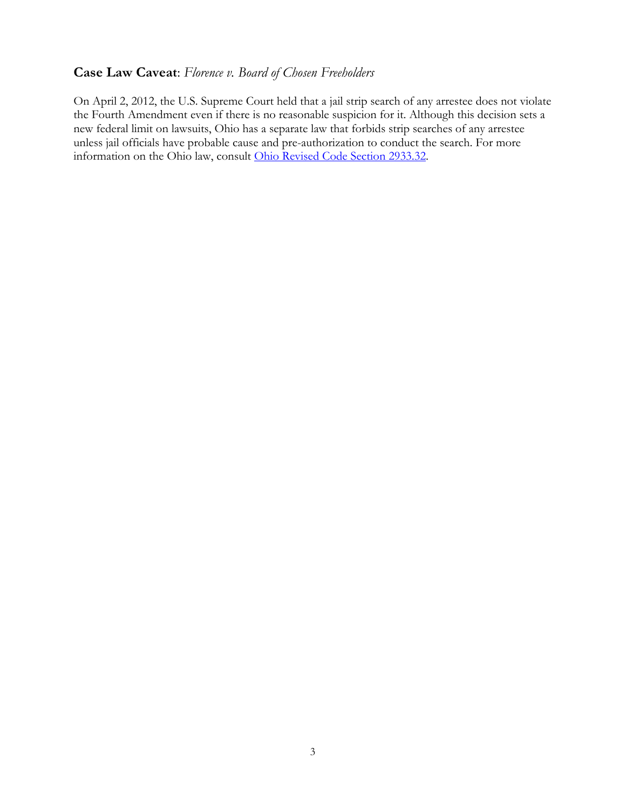## **Case Law Caveat**: *Florence v. Board of Chosen Freeholders*

On April 2, 2012, the U.S. Supreme Court held that a jail strip search of any arrestee does not violate the Fourth Amendment even if there is no reasonable suspicion for it. Although this decision sets a new federal limit on lawsuits, Ohio has a separate law that forbids strip searches of any arrestee unless jail officials have probable cause and pre-authorization to conduct the search. For more information on the Ohio law, consult [Ohio Revised Code Section 2933.32.](http://codes.ohio.gov/orc/2933.32)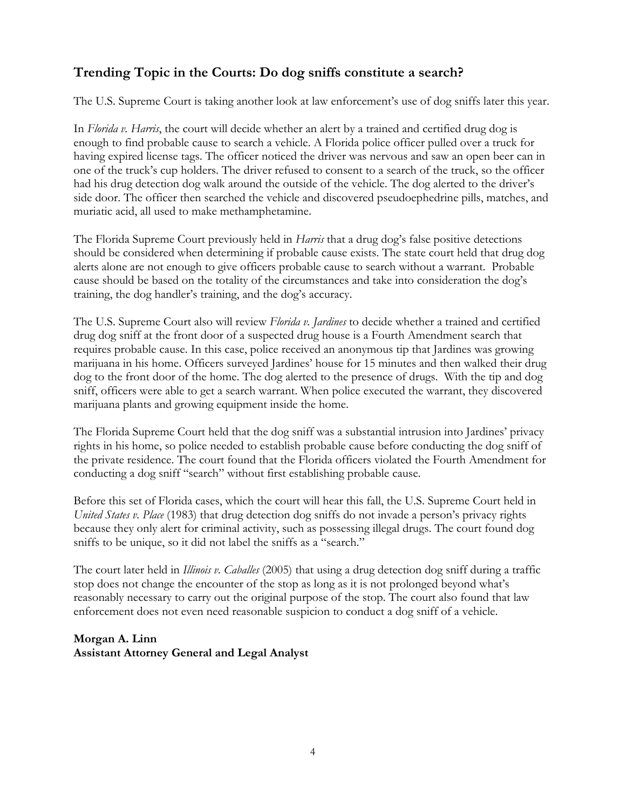# **Trending Topic in the Courts: Do dog sniffs constitute a search?**

The U.S. Supreme Court is taking another look at law enforcement's use of dog sniffs later this year.

In *Florida v. Harris*, the court will decide whether an alert by a trained and certified drug dog is enough to find probable cause to search a vehicle. A Florida police officer pulled over a truck for having expired license tags. The officer noticed the driver was nervous and saw an open beer can in one of the truck's cup holders. The driver refused to consent to a search of the truck, so the officer had his drug detection dog walk around the outside of the vehicle. The dog alerted to the driver's side door. The officer then searched the vehicle and discovered pseudoephedrine pills, matches, and muriatic acid, all used to make methamphetamine.

The Florida Supreme Court previously held in *Harris* that a drug dog's false positive detections should be considered when determining if probable cause exists. The state court held that drug dog alerts alone are not enough to give officers probable cause to search without a warrant. Probable cause should be based on the totality of the circumstances and take into consideration the dog's training, the dog handler's training, and the dog's accuracy.

The U.S. Supreme Court also will review *Florida v. Jardines* to decide whether a trained and certified drug dog sniff at the front door of a suspected drug house is a Fourth Amendment search that requires probable cause. In this case, police received an anonymous tip that Jardines was growing marijuana in his home. Officers surveyed Jardines' house for 15 minutes and then walked their drug dog to the front door of the home. The dog alerted to the presence of drugs. With the tip and dog sniff, officers were able to get a search warrant. When police executed the warrant, they discovered marijuana plants and growing equipment inside the home.

The Florida Supreme Court held that the dog sniff was a substantial intrusion into Jardines' privacy rights in his home, so police needed to establish probable cause before conducting the dog sniff of the private residence. The court found that the Florida officers violated the Fourth Amendment for conducting a dog sniff "search" without first establishing probable cause.

Before this set of Florida cases, which the court will hear this fall, the U.S. Supreme Court held in *United States v. Place* (1983) that drug detection dog sniffs do not invade a person's privacy rights because they only alert for criminal activity, such as possessing illegal drugs. The court found dog sniffs to be unique, so it did not label the sniffs as a "search."

The court later held in *Illinois v. Caballes* (2005) that using a drug detection dog sniff during a traffic stop does not change the encounter of the stop as long as it is not prolonged beyond what's reasonably necessary to carry out the original purpose of the stop. The court also found that law enforcement does not even need reasonable suspicion to conduct a dog sniff of a vehicle.

## **Morgan A. Linn Assistant Attorney General and Legal Analyst**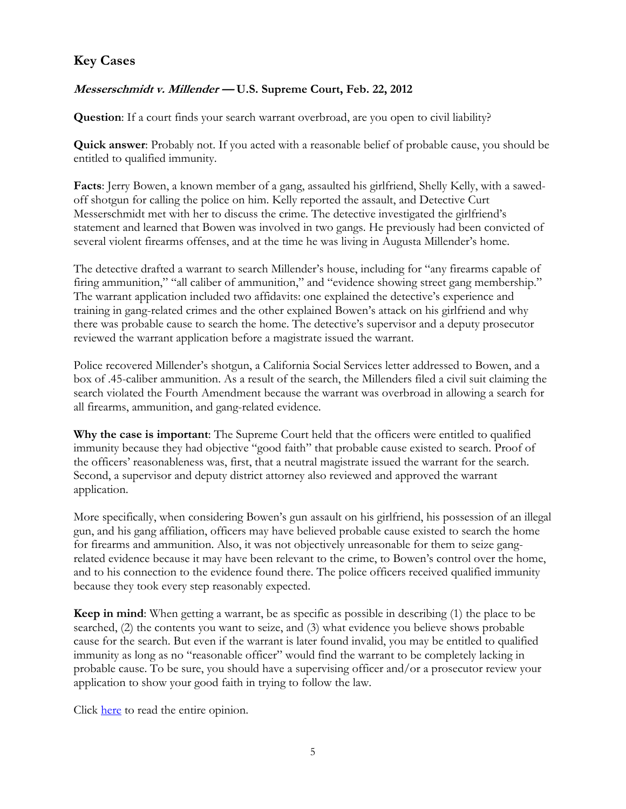## **Key Cases**

## **Messerschmidt v. Millender — U.S. Supreme Court, Feb. 22, 2012**

**Question**: If a court finds your search warrant overbroad, are you open to civil liability?

**Quick answer**: Probably not. If you acted with a reasonable belief of probable cause, you should be entitled to qualified immunity.

**Facts**: Jerry Bowen, a known member of a gang, assaulted his girlfriend, Shelly Kelly, with a sawedoff shotgun for calling the police on him. Kelly reported the assault, and Detective Curt Messerschmidt met with her to discuss the crime. The detective investigated the girlfriend's statement and learned that Bowen was involved in two gangs. He previously had been convicted of several violent firearms offenses, and at the time he was living in Augusta Millender's home.

The detective drafted a warrant to search Millender's house, including for "any firearms capable of firing ammunition," "all caliber of ammunition," and "evidence showing street gang membership." The warrant application included two affidavits: one explained the detective's experience and training in gang-related crimes and the other explained Bowen's attack on his girlfriend and why there was probable cause to search the home. The detective's supervisor and a deputy prosecutor reviewed the warrant application before a magistrate issued the warrant.

Police recovered Millender's shotgun, a California Social Services letter addressed to Bowen, and a box of .45-caliber ammunition. As a result of the search, the Millenders filed a civil suit claiming the search violated the Fourth Amendment because the warrant was overbroad in allowing a search for all firearms, ammunition, and gang-related evidence.

**Why the case is important**: The Supreme Court held that the officers were entitled to qualified immunity because they had objective "good faith" that probable cause existed to search. Proof of the officers' reasonableness was, first, that a neutral magistrate issued the warrant for the search. Second, a supervisor and deputy district attorney also reviewed and approved the warrant application.

More specifically, when considering Bowen's gun assault on his girlfriend, his possession of an illegal gun, and his gang affiliation, officers may have believed probable cause existed to search the home for firearms and ammunition. Also, it was not objectively unreasonable for them to seize gangrelated evidence because it may have been relevant to the crime, to Bowen's control over the home, and to his connection to the evidence found there. The police officers received qualified immunity because they took every step reasonably expected.

**Keep in mind**: When getting a warrant, be as specific as possible in describing (1) the place to be searched, (2) the contents you want to seize, and (3) what evidence you believe shows probable cause for the search. But even if the warrant is later found invalid, you may be entitled to qualified immunity as long as no "reasonable officer" would find the warrant to be completely lacking in probable cause. To be sure, you should have a supervising officer and/or a prosecutor review your application to show your good faith in trying to follow the law.

Click [here](http://www.supremecourt.gov/opinions/11pdf/10-704.pdf) to read the entire opinion.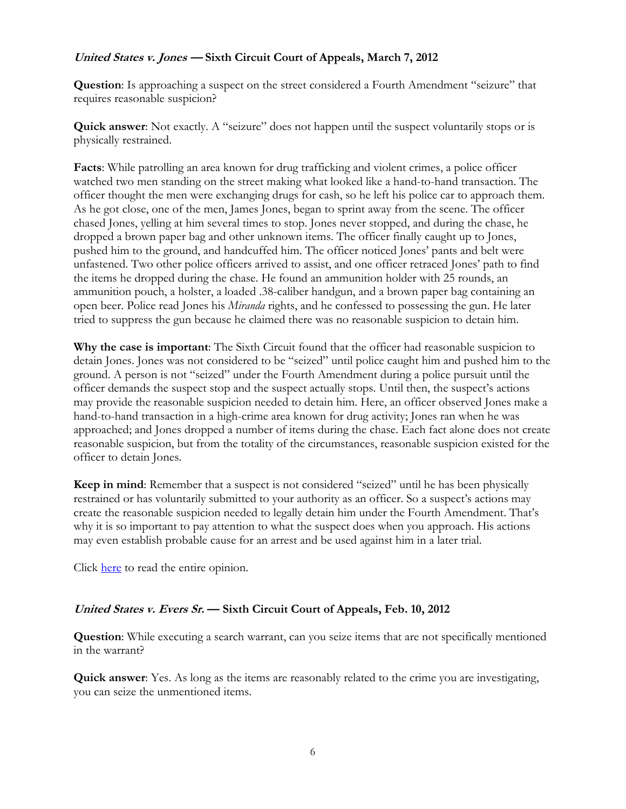## **United States v. Jones — Sixth Circuit Court of Appeals, March 7, 2012**

**Question**: Is approaching a suspect on the street considered a Fourth Amendment "seizure" that requires reasonable suspicion?

**Quick answer**: Not exactly. A "seizure" does not happen until the suspect voluntarily stops or is physically restrained.

**Facts**: While patrolling an area known for drug trafficking and violent crimes, a police officer watched two men standing on the street making what looked like a hand-to-hand transaction. The officer thought the men were exchanging drugs for cash, so he left his police car to approach them. As he got close, one of the men, James Jones, began to sprint away from the scene. The officer chased Jones, yelling at him several times to stop. Jones never stopped, and during the chase, he dropped a brown paper bag and other unknown items. The officer finally caught up to Jones, pushed him to the ground, and handcuffed him. The officer noticed Jones' pants and belt were unfastened. Two other police officers arrived to assist, and one officer retraced Jones' path to find the items he dropped during the chase. He found an ammunition holder with 25 rounds, an ammunition pouch, a holster, a loaded .38-caliber handgun, and a brown paper bag containing an open beer. Police read Jones his *Miranda* rights, and he confessed to possessing the gun. He later tried to suppress the gun because he claimed there was no reasonable suspicion to detain him.

**Why the case is important**: The Sixth Circuit found that the officer had reasonable suspicion to detain Jones. Jones was not considered to be "seized" until police caught him and pushed him to the ground. A person is not "seized" under the Fourth Amendment during a police pursuit until the officer demands the suspect stop and the suspect actually stops. Until then, the suspect's actions may provide the reasonable suspicion needed to detain him. Here, an officer observed Jones make a hand-to-hand transaction in a high-crime area known for drug activity; Jones ran when he was approached; and Jones dropped a number of items during the chase. Each fact alone does not create reasonable suspicion, but from the totality of the circumstances, reasonable suspicion existed for the officer to detain Jones.

**Keep in mind**: Remember that a suspect is not considered "seized" until he has been physically restrained or has voluntarily submitted to your authority as an officer. So a suspect's actions may create the reasonable suspicion needed to legally detain him under the Fourth Amendment. That's why it is so important to pay attention to what the suspect does when you approach. His actions may even establish probable cause for an arrest and be used against him in a later trial.

Click [here](http://www.ca6.uscourts.gov/opinions.pdf/12a0071p-06.pdf) to read the entire opinion.

### **United States v. Evers Sr. — Sixth Circuit Court of Appeals, Feb. 10, 2012**

**Question**: While executing a search warrant, can you seize items that are not specifically mentioned in the warrant?

**Quick answer**: Yes. As long as the items are reasonably related to the crime you are investigating, you can seize the unmentioned items.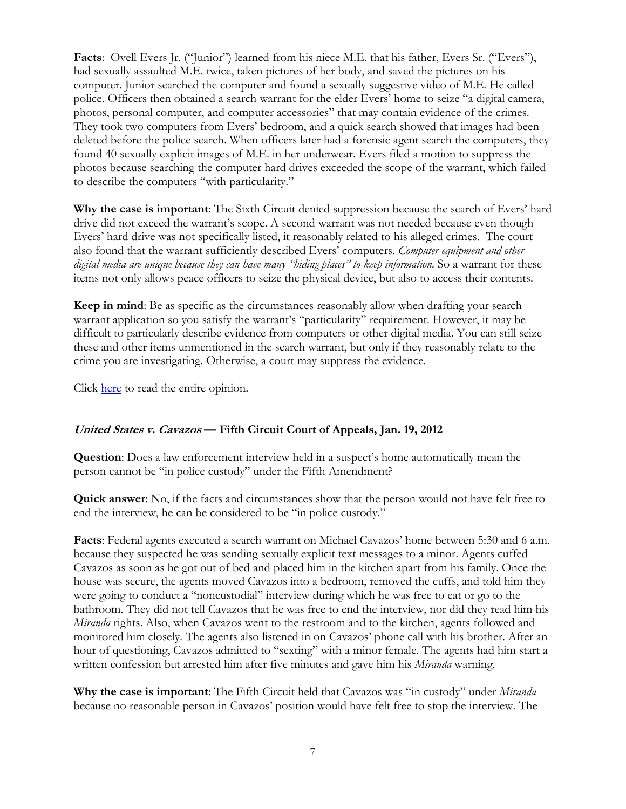Facts: Ovell Evers Jr. ("Junior") learned from his niece M.E. that his father, Evers Sr. ("Evers"), had sexually assaulted M.E. twice, taken pictures of her body, and saved the pictures on his computer. Junior searched the computer and found a sexually suggestive video of M.E. He called police. Officers then obtained a search warrant for the elder Evers' home to seize "a digital camera, photos, personal computer, and computer accessories" that may contain evidence of the crimes. They took two computers from Evers' bedroom, and a quick search showed that images had been deleted before the police search. When officers later had a forensic agent search the computers, they found 40 sexually explicit images of M.E. in her underwear. Evers filed a motion to suppress the photos because searching the computer hard drives exceeded the scope of the warrant, which failed to describe the computers "with particularity."

**Why the case is important**: The Sixth Circuit denied suppression because the search of Evers' hard drive did not exceed the warrant's scope. A second warrant was not needed because even though Evers' hard drive was not specifically listed, it reasonably related to his alleged crimes. The court also found that the warrant sufficiently described Evers' computers. *Computer equipment and other digital media are unique because they can have many "hiding places" to keep information.* So a warrant for these items not only allows peace officers to seize the physical device, but also to access their contents.

**Keep in mind**: Be as specific as the circumstances reasonably allow when drafting your search warrant application so you satisfy the warrant's "particularity" requirement. However, it may be difficult to particularly describe evidence from computers or other digital media. You can still seize these and other items unmentioned in the search warrant, but only if they reasonably relate to the crime you are investigating. Otherwise, a court may suppress the evidence.

Click [here](http://www.ca6.uscourts.gov/opinions.pdf/12a0042p-06.pdf) to read the entire opinion.

### **United States v. Cavazos — Fifth Circuit Court of Appeals, Jan. 19, 2012**

**Question**: Does a law enforcement interview held in a suspect's home automatically mean the person cannot be "in police custody" under the Fifth Amendment?

**Quick answer**: No, if the facts and circumstances show that the person would not have felt free to end the interview, he can be considered to be "in police custody."

**Facts**: Federal agents executed a search warrant on Michael Cavazos' home between 5:30 and 6 a.m. because they suspected he was sending sexually explicit text messages to a minor. Agents cuffed Cavazos as soon as he got out of bed and placed him in the kitchen apart from his family. Once the house was secure, the agents moved Cavazos into a bedroom, removed the cuffs, and told him they were going to conduct a "noncustodial" interview during which he was free to eat or go to the bathroom. They did not tell Cavazos that he was free to end the interview, nor did they read him his *Miranda* rights. Also, when Cavazos went to the restroom and to the kitchen, agents followed and monitored him closely. The agents also listened in on Cavazos' phone call with his brother. After an hour of questioning, Cavazos admitted to "sexting" with a minor female. The agents had him start a written confession but arrested him after five minutes and gave him his *Miranda* warning.

**Why the case is important**: The Fifth Circuit held that Cavazos was "in custody" under *Miranda* because no reasonable person in Cavazos' position would have felt free to stop the interview. The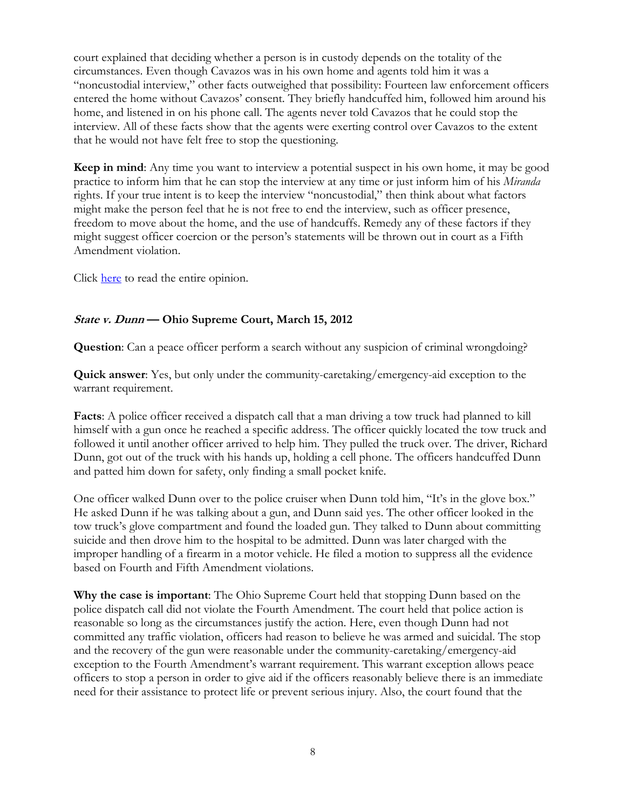court explained that deciding whether a person is in custody depends on the totality of the circumstances. Even though Cavazos was in his own home and agents told him it was a "noncustodial interview," other facts outweighed that possibility: Fourteen law enforcement officers entered the home without Cavazos' consent. They briefly handcuffed him, followed him around his home, and listened in on his phone call. The agents never told Cavazos that he could stop the interview. All of these facts show that the agents were exerting control over Cavazos to the extent that he would not have felt free to stop the questioning.

**Keep in mind**: Any time you want to interview a potential suspect in his own home, it may be good practice to inform him that he can stop the interview at any time or just inform him of his *Miranda*  rights. If your true intent is to keep the interview "noncustodial," then think about what factors might make the person feel that he is not free to end the interview, such as officer presence, freedom to move about the home, and the use of handcuffs. Remedy any of these factors if they might suggest officer coercion or the person's statements will be thrown out in court as a Fifth Amendment violation.

Click [here](http://www.ca5.uscourts.gov/opinions/pub/11/11-50094-CR0.wpd.pdf) to read the entire opinion.

#### **State v. Dunn — Ohio Supreme Court, March 15, 2012**

**Question**: Can a peace officer perform a search without any suspicion of criminal wrongdoing?

**Quick answer**: Yes, but only under the community-caretaking/emergency-aid exception to the warrant requirement.

**Facts**: A police officer received a dispatch call that a man driving a tow truck had planned to kill himself with a gun once he reached a specific address. The officer quickly located the tow truck and followed it until another officer arrived to help him. They pulled the truck over. The driver, Richard Dunn, got out of the truck with his hands up, holding a cell phone. The officers handcuffed Dunn and patted him down for safety, only finding a small pocket knife.

One officer walked Dunn over to the police cruiser when Dunn told him, "It's in the glove box." He asked Dunn if he was talking about a gun, and Dunn said yes. The other officer looked in the tow truck's glove compartment and found the loaded gun. They talked to Dunn about committing suicide and then drove him to the hospital to be admitted. Dunn was later charged with the improper handling of a firearm in a motor vehicle. He filed a motion to suppress all the evidence based on Fourth and Fifth Amendment violations.

**Why the case is important**: The Ohio Supreme Court held that stopping Dunn based on the police dispatch call did not violate the Fourth Amendment. The court held that police action is reasonable so long as the circumstances justify the action. Here, even though Dunn had not committed any traffic violation, officers had reason to believe he was armed and suicidal. The stop and the recovery of the gun were reasonable under the community-caretaking/emergency-aid exception to the Fourth Amendment's warrant requirement. This warrant exception allows peace officers to stop a person in order to give aid if the officers reasonably believe there is an immediate need for their assistance to protect life or prevent serious injury. Also, the court found that the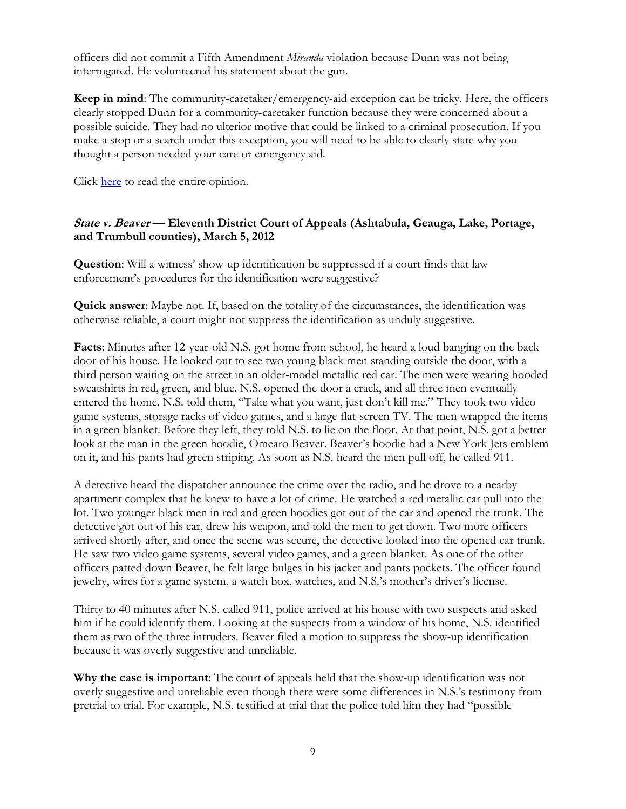officers did not commit a Fifth Amendment *Miranda* violation because Dunn was not being interrogated. He volunteered his statement about the gun.

**Keep in mind**: The community-caretaker/emergency-aid exception can be tricky. Here, the officers clearly stopped Dunn for a community-caretaker function because they were concerned about a possible suicide. They had no ulterior motive that could be linked to a criminal prosecution. If you make a stop or a search under this exception, you will need to be able to clearly state why you thought a person needed your care or emergency aid.

Click [here](http://www.supremecourtofohio.gov/rod/docs/pdf/0/2012/2012-ohio-1008.pdf) to read the entire opinion.

#### **State v. Beaver — Eleventh District Court of Appeals (Ashtabula, Geauga, Lake, Portage, and Trumbull counties), March 5, 2012**

**Question**: Will a witness' show-up identification be suppressed if a court finds that law enforcement's procedures for the identification were suggestive?

**Quick answer**: Maybe not. If, based on the totality of the circumstances, the identification was otherwise reliable, a court might not suppress the identification as unduly suggestive.

**Facts**: Minutes after 12-year-old N.S. got home from school, he heard a loud banging on the back door of his house. He looked out to see two young black men standing outside the door, with a third person waiting on the street in an older-model metallic red car. The men were wearing hooded sweatshirts in red, green, and blue. N.S. opened the door a crack, and all three men eventually entered the home. N.S. told them, "Take what you want, just don't kill me." They took two video game systems, storage racks of video games, and a large flat-screen TV. The men wrapped the items in a green blanket. Before they left, they told N.S. to lie on the floor. At that point, N.S. got a better look at the man in the green hoodie, Omearo Beaver. Beaver's hoodie had a New York Jets emblem on it, and his pants had green striping. As soon as N.S. heard the men pull off, he called 911.

A detective heard the dispatcher announce the crime over the radio, and he drove to a nearby apartment complex that he knew to have a lot of crime. He watched a red metallic car pull into the lot. Two younger black men in red and green hoodies got out of the car and opened the trunk. The detective got out of his car, drew his weapon, and told the men to get down. Two more officers arrived shortly after, and once the scene was secure, the detective looked into the opened car trunk. He saw two video game systems, several video games, and a green blanket. As one of the other officers patted down Beaver, he felt large bulges in his jacket and pants pockets. The officer found jewelry, wires for a game system, a watch box, watches, and N.S.'s mother's driver's license.

Thirty to 40 minutes after N.S. called 911, police arrived at his house with two suspects and asked him if he could identify them. Looking at the suspects from a window of his home, N.S. identified them as two of the three intruders. Beaver filed a motion to suppress the show-up identification because it was overly suggestive and unreliable.

**Why the case is important**: The court of appeals held that the show-up identification was not overly suggestive and unreliable even though there were some differences in N.S.'s testimony from pretrial to trial. For example, N.S. testified at trial that the police told him they had "possible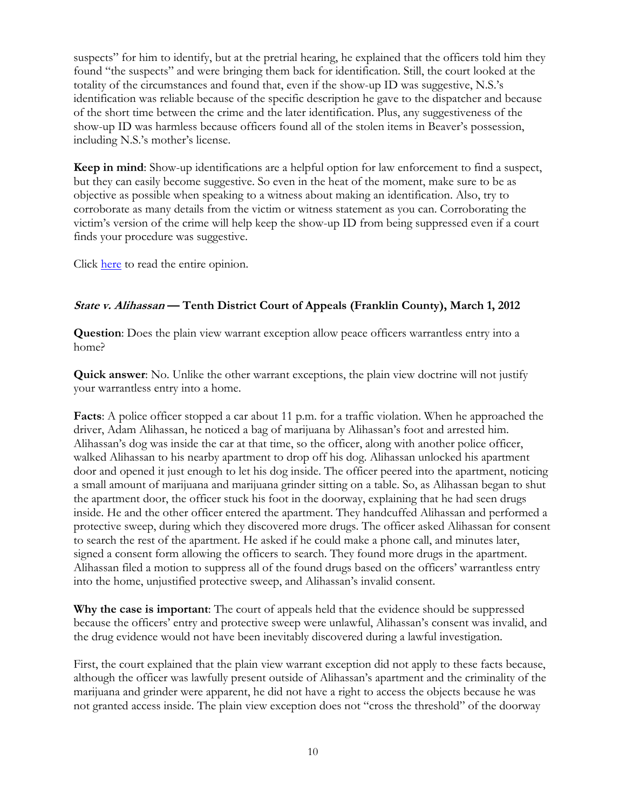suspects" for him to identify, but at the pretrial hearing, he explained that the officers told him they found "the suspects" and were bringing them back for identification. Still, the court looked at the totality of the circumstances and found that, even if the show-up ID was suggestive, N.S.'s identification was reliable because of the specific description he gave to the dispatcher and because of the short time between the crime and the later identification. Plus, any suggestiveness of the show-up ID was harmless because officers found all of the stolen items in Beaver's possession, including N.S.'s mother's license.

**Keep in mind**: Show-up identifications are a helpful option for law enforcement to find a suspect, but they can easily become suggestive. So even in the heat of the moment, make sure to be as objective as possible when speaking to a witness about making an identification. Also, try to corroborate as many details from the victim or witness statement as you can. Corroborating the victim's version of the crime will help keep the show-up ID from being suppressed even if a court finds your procedure was suggestive.

Click [here](http://www.supremecourtofohio.gov/rod/docs/pdf/11/2012/2012-ohio-871.pdf) to read the entire opinion.

### **State v. Alihassan — Tenth District Court of Appeals (Franklin County), March 1, 2012**

**Question**: Does the plain view warrant exception allow peace officers warrantless entry into a home?

**Quick answer**: No. Unlike the other warrant exceptions, the plain view doctrine will not justify your warrantless entry into a home.

**Facts**: A police officer stopped a car about 11 p.m. for a traffic violation. When he approached the driver, Adam Alihassan, he noticed a bag of marijuana by Alihassan's foot and arrested him. Alihassan's dog was inside the car at that time, so the officer, along with another police officer, walked Alihassan to his nearby apartment to drop off his dog. Alihassan unlocked his apartment door and opened it just enough to let his dog inside. The officer peered into the apartment, noticing a small amount of marijuana and marijuana grinder sitting on a table. So, as Alihassan began to shut the apartment door, the officer stuck his foot in the doorway, explaining that he had seen drugs inside. He and the other officer entered the apartment. They handcuffed Alihassan and performed a protective sweep, during which they discovered more drugs. The officer asked Alihassan for consent to search the rest of the apartment. He asked if he could make a phone call, and minutes later, signed a consent form allowing the officers to search. They found more drugs in the apartment. Alihassan filed a motion to suppress all of the found drugs based on the officers' warrantless entry into the home, unjustified protective sweep, and Alihassan's invalid consent.

**Why the case is important**: The court of appeals held that the evidence should be suppressed because the officers' entry and protective sweep were unlawful, Alihassan's consent was invalid, and the drug evidence would not have been inevitably discovered during a lawful investigation.

First, the court explained that the plain view warrant exception did not apply to these facts because, although the officer was lawfully present outside of Alihassan's apartment and the criminality of the marijuana and grinder were apparent, he did not have a right to access the objects because he was not granted access inside. The plain view exception does not "cross the threshold" of the doorway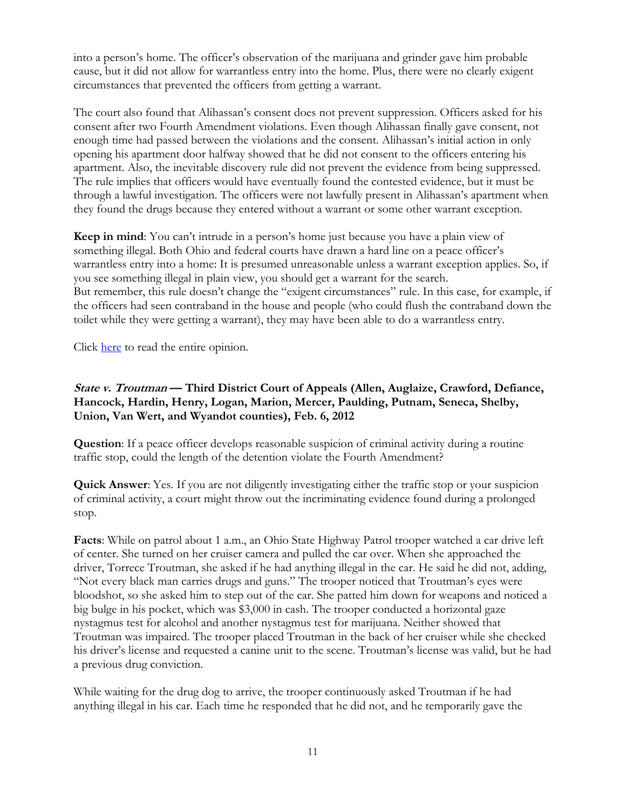into a person's home. The officer's observation of the marijuana and grinder gave him probable cause, but it did not allow for warrantless entry into the home. Plus, there were no clearly exigent circumstances that prevented the officers from getting a warrant.

The court also found that Alihassan's consent does not prevent suppression. Officers asked for his consent after two Fourth Amendment violations. Even though Alihassan finally gave consent, not enough time had passed between the violations and the consent. Alihassan's initial action in only opening his apartment door halfway showed that he did not consent to the officers entering his apartment. Also, the inevitable discovery rule did not prevent the evidence from being suppressed. The rule implies that officers would have eventually found the contested evidence, but it must be through a lawful investigation. The officers were not lawfully present in Alihassan's apartment when they found the drugs because they entered without a warrant or some other warrant exception.

**Keep in mind**: You can't intrude in a person's home just because you have a plain view of something illegal. Both Ohio and federal courts have drawn a hard line on a peace officer's warrantless entry into a home: It is presumed unreasonable unless a warrant exception applies. So, if you see something illegal in plain view, you should get a warrant for the search. But remember, this rule doesn't change the "exigent circumstances" rule. In this case, for example, if the officers had seen contraband in the house and people (who could flush the contraband down the toilet while they were getting a warrant), they may have been able to do a warrantless entry.

Click [here](http://www.supremecourtofohio.gov/rod/docs/pdf/10/2012/2012-ohio-825.pdf) to read the entire opinion.

### **State v. Troutman — Third District Court of Appeals (Allen, Auglaize, Crawford, Defiance, Hancock, Hardin, Henry, Logan, Marion, Mercer, Paulding, Putnam, Seneca, Shelby, Union, Van Wert, and Wyandot counties), Feb. 6, 2012**

**Question**: If a peace officer develops reasonable suspicion of criminal activity during a routine traffic stop, could the length of the detention violate the Fourth Amendment?

**Quick Answer**: Yes. If you are not diligently investigating either the traffic stop or your suspicion of criminal activity, a court might throw out the incriminating evidence found during a prolonged stop.

**Facts**: While on patrol about 1 a.m., an Ohio State Highway Patrol trooper watched a car drive left of center. She turned on her cruiser camera and pulled the car over. When she approached the driver, Torrece Troutman, she asked if he had anything illegal in the car. He said he did not, adding, "Not every black man carries drugs and guns." The trooper noticed that Troutman's eyes were bloodshot, so she asked him to step out of the car. She patted him down for weapons and noticed a big bulge in his pocket, which was \$3,000 in cash. The trooper conducted a horizontal gaze nystagmus test for alcohol and another nystagmus test for marijuana. Neither showed that Troutman was impaired. The trooper placed Troutman in the back of her cruiser while she checked his driver's license and requested a canine unit to the scene. Troutman's license was valid, but he had a previous drug conviction.

While waiting for the drug dog to arrive, the trooper continuously asked Troutman if he had anything illegal in his car. Each time he responded that he did not, and he temporarily gave the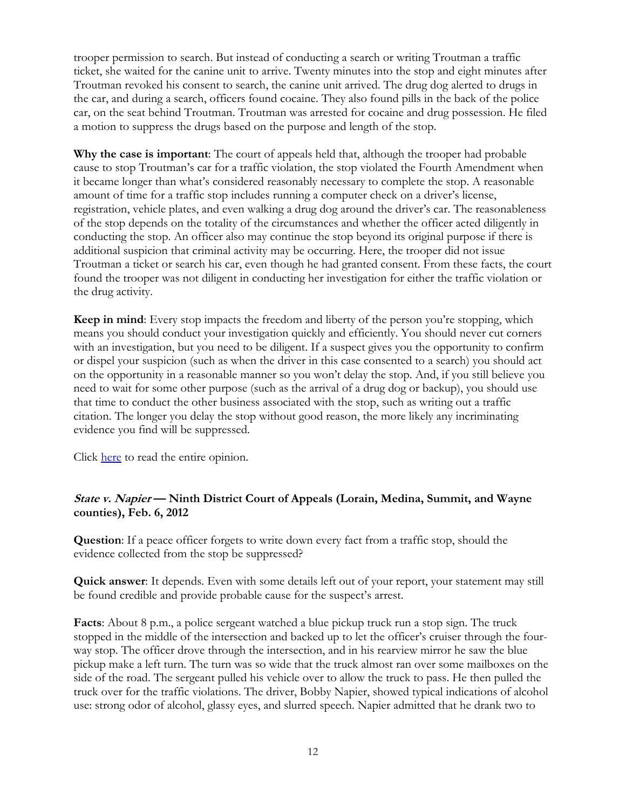trooper permission to search. But instead of conducting a search or writing Troutman a traffic ticket, she waited for the canine unit to arrive. Twenty minutes into the stop and eight minutes after Troutman revoked his consent to search, the canine unit arrived. The drug dog alerted to drugs in the car, and during a search, officers found cocaine. They also found pills in the back of the police car, on the seat behind Troutman. Troutman was arrested for cocaine and drug possession. He filed a motion to suppress the drugs based on the purpose and length of the stop.

**Why the case is important**: The court of appeals held that, although the trooper had probable cause to stop Troutman's car for a traffic violation, the stop violated the Fourth Amendment when it became longer than what's considered reasonably necessary to complete the stop. A reasonable amount of time for a traffic stop includes running a computer check on a driver's license, registration, vehicle plates, and even walking a drug dog around the driver's car. The reasonableness of the stop depends on the totality of the circumstances and whether the officer acted diligently in conducting the stop. An officer also may continue the stop beyond its original purpose if there is additional suspicion that criminal activity may be occurring. Here, the trooper did not issue Troutman a ticket or search his car, even though he had granted consent. From these facts, the court found the trooper was not diligent in conducting her investigation for either the traffic violation or the drug activity.

**Keep in mind**: Every stop impacts the freedom and liberty of the person you're stopping, which means you should conduct your investigation quickly and efficiently. You should never cut corners with an investigation, but you need to be diligent. If a suspect gives you the opportunity to confirm or dispel your suspicion (such as when the driver in this case consented to a search) you should act on the opportunity in a reasonable manner so you won't delay the stop. And, if you still believe you need to wait for some other purpose (such as the arrival of a drug dog or backup), you should use that time to conduct the other business associated with the stop, such as writing out a traffic citation. The longer you delay the stop without good reason, the more likely any incriminating evidence you find will be suppressed.

Click [here](http://www.supremecourtofohio.gov/rod/docs/pdf/3/2012/2012-ohio-407.pdf) to read the entire opinion.

### **State v. Napier — Ninth District Court of Appeals (Lorain, Medina, Summit, and Wayne counties), Feb. 6, 2012**

**Question**: If a peace officer forgets to write down every fact from a traffic stop, should the evidence collected from the stop be suppressed?

**Quick answer**: It depends. Even with some details left out of your report, your statement may still be found credible and provide probable cause for the suspect's arrest.

**Facts**: About 8 p.m., a police sergeant watched a blue pickup truck run a stop sign. The truck stopped in the middle of the intersection and backed up to let the officer's cruiser through the fourway stop. The officer drove through the intersection, and in his rearview mirror he saw the blue pickup make a left turn. The turn was so wide that the truck almost ran over some mailboxes on the side of the road. The sergeant pulled his vehicle over to allow the truck to pass. He then pulled the truck over for the traffic violations. The driver, Bobby Napier, showed typical indications of alcohol use: strong odor of alcohol, glassy eyes, and slurred speech. Napier admitted that he drank two to